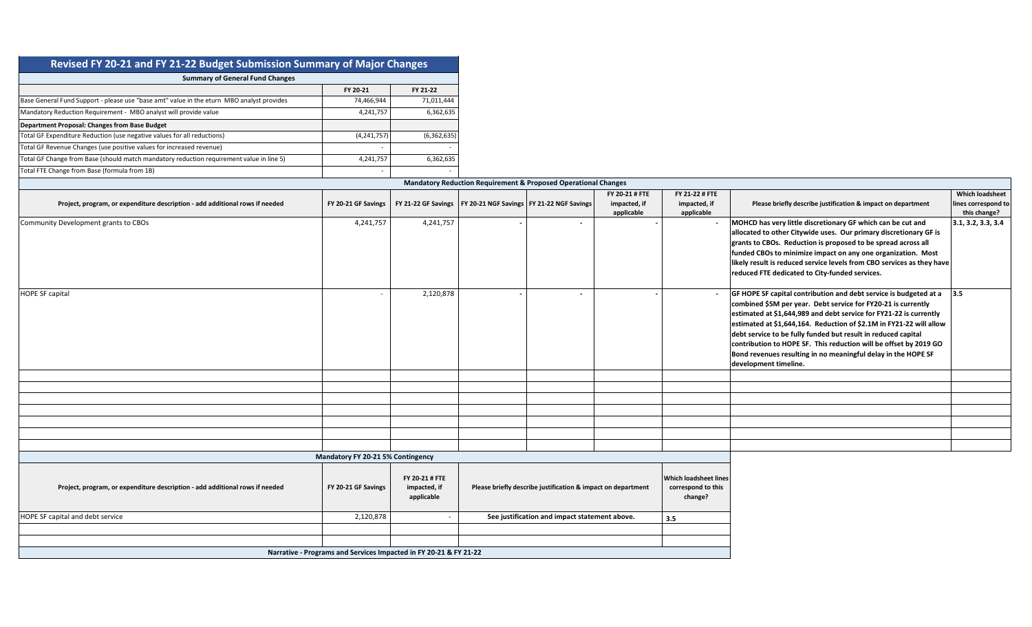| Revised FY 20-21 and FY 21-22 Budget Submission Summary of Major Changes                  |               |             |
|-------------------------------------------------------------------------------------------|---------------|-------------|
| <b>Summary of General Fund Changes</b>                                                    |               |             |
|                                                                                           | FY 20-21      | FY 21-22    |
| Base General Fund Support - please use "base amt" value in the eturn MBO analyst provides | 74,466,944    | 71,011,444  |
| Mandatory Reduction Requirement - MBO analyst will provide value                          | 4,241,757     | 6,362,635   |
| <b>Department Proposal: Changes from Base Budget</b>                                      |               |             |
| Total GF Expenditure Reduction (use negative values for all reductions)                   | (4, 241, 757) | (6,362,635) |
| Total GF Revenue Changes (use positive values for increased revenue)                      |               |             |
| Total GF Change from Base (should match mandatory reduction requirement value in line 5)  | 4,241,757     | 6,362,635   |
| Total FTE Change from Base (formula from 1B)                                              |               |             |

| <b>Mandatory Reduction Requirement &amp; Proposed Operational Changes</b>    |                                   |           |                                                                   |                          |                                              |                                              |                                                                                                                                                                                                                                                                                                                                                                                                                                                                                                                             |                                                               |  |  |  |  |  |
|------------------------------------------------------------------------------|-----------------------------------|-----------|-------------------------------------------------------------------|--------------------------|----------------------------------------------|----------------------------------------------|-----------------------------------------------------------------------------------------------------------------------------------------------------------------------------------------------------------------------------------------------------------------------------------------------------------------------------------------------------------------------------------------------------------------------------------------------------------------------------------------------------------------------------|---------------------------------------------------------------|--|--|--|--|--|
| Project, program, or expenditure description - add additional rows if needed | FY 20-21 GF Savings               |           | FY 21-22 GF Savings   FY 20-21 NGF Savings   FY 21-22 NGF Savings |                          | FY 20-21 # FTE<br>impacted, if<br>applicable | FY 21-22 # FTE<br>impacted, if<br>applicable | Please briefly describe justification & impact on department                                                                                                                                                                                                                                                                                                                                                                                                                                                                | <b>Which loadsheet</b><br>lines correspond to<br>this change? |  |  |  |  |  |
| Community Development grants to CBOs                                         | 4,241,757                         | 4,241,757 |                                                                   | $\overline{\phantom{0}}$ |                                              |                                              | MOHCD has very little discretionary GF which can be cut and<br>allocated to other Citywide uses. Our primary discretionary GF is<br>grants to CBOs. Reduction is proposed to be spread across all<br>funded CBOs to minimize impact on any one organization. Most<br>likely result is reduced service levels from CBO services as they have<br>reduced FTE dedicated to City-funded services.                                                                                                                               | 3.1, 3.2, 3.3, 3.4                                            |  |  |  |  |  |
| <b>HOPE SF capital</b>                                                       |                                   | 2,120,878 |                                                                   |                          |                                              |                                              | GF HOPE SF capital contribution and debt service is budgeted at a $\vert$ 3.5<br>combined \$5M per year. Debt service for FY20-21 is currently<br>estimated at \$1,644,989 and debt service for FY21-22 is currently<br>estimated at \$1,644,164. Reduction of \$2.1M in FY21-22 will allow<br>debt service to be fully funded but result in reduced capital<br>contribution to HOPE SF. This reduction will be offset by 2019 GO<br>Bond revenues resulting in no meaningful delay in the HOPE SF<br>development timeline. |                                                               |  |  |  |  |  |
|                                                                              |                                   |           |                                                                   |                          |                                              |                                              |                                                                                                                                                                                                                                                                                                                                                                                                                                                                                                                             |                                                               |  |  |  |  |  |
|                                                                              |                                   |           |                                                                   |                          |                                              |                                              |                                                                                                                                                                                                                                                                                                                                                                                                                                                                                                                             |                                                               |  |  |  |  |  |
|                                                                              |                                   |           |                                                                   |                          |                                              |                                              |                                                                                                                                                                                                                                                                                                                                                                                                                                                                                                                             |                                                               |  |  |  |  |  |
|                                                                              |                                   |           |                                                                   |                          |                                              |                                              |                                                                                                                                                                                                                                                                                                                                                                                                                                                                                                                             |                                                               |  |  |  |  |  |
|                                                                              |                                   |           |                                                                   |                          |                                              |                                              |                                                                                                                                                                                                                                                                                                                                                                                                                                                                                                                             |                                                               |  |  |  |  |  |
|                                                                              |                                   |           |                                                                   |                          |                                              |                                              |                                                                                                                                                                                                                                                                                                                                                                                                                                                                                                                             |                                                               |  |  |  |  |  |
|                                                                              |                                   |           |                                                                   |                          |                                              |                                              |                                                                                                                                                                                                                                                                                                                                                                                                                                                                                                                             |                                                               |  |  |  |  |  |
|                                                                              | Mandatory FY 20-21 5% Contingency |           |                                                                   |                          |                                              |                                              |                                                                                                                                                                                                                                                                                                                                                                                                                                                                                                                             |                                                               |  |  |  |  |  |

| Project, program, or expenditure description - add additional rows if needed | FY 20-21 GF Savings                                               | FY 20-21 # FTE<br>impacted, if<br>applicable | Please briefly describe justification & impact on department | <b>Which loadsheet lines</b><br>correspond to this<br>change? |
|------------------------------------------------------------------------------|-------------------------------------------------------------------|----------------------------------------------|--------------------------------------------------------------|---------------------------------------------------------------|
| <b>HOPE SF capital and debt service</b>                                      | 2,120,878                                                         |                                              | See justification and impact statement above.                | 3.5                                                           |
|                                                                              |                                                                   |                                              |                                                              |                                                               |
|                                                                              |                                                                   |                                              |                                                              |                                                               |
|                                                                              | Narrative - Programs and Services Impacted in FY 20-21 & FY 21-22 |                                              |                                                              |                                                               |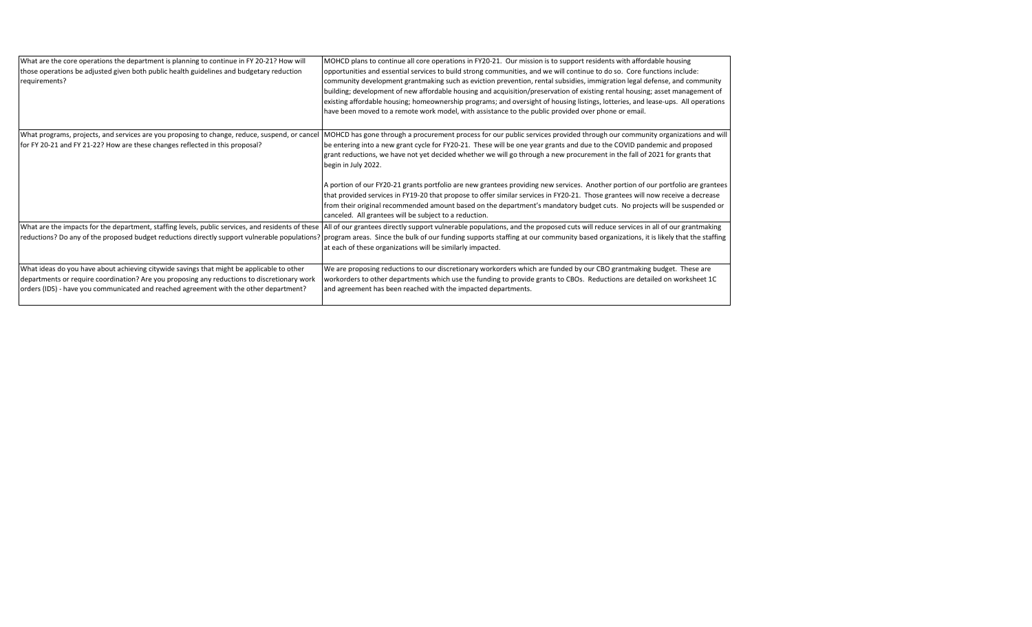| What are the core operations the department is planning to continue in FY 20-21? How will<br>those operations be adjusted given both public health guidelines and budgetary reduction<br>requirements?                                                                            | MOHCD plans to continue all core operations in FY20-21. Our mission is to support residents with affordable housing<br>opportunities and essential services to build strong communities, and we will continue to do so. Core functions include:<br>community development grantmaking such as eviction prevention, rental subsidies, immigration legal defense, and community<br>building; development of new affordable housing and acquisition/preservation of existing rental housing; asset management of<br>existing affordable housing; homeownership programs; and oversight of housing listings, lotteries, and lease-ups. All operations<br>have been moved to a remote work model, with assistance to the public provided over phone or email.                                                                                                                  |
|-----------------------------------------------------------------------------------------------------------------------------------------------------------------------------------------------------------------------------------------------------------------------------------|--------------------------------------------------------------------------------------------------------------------------------------------------------------------------------------------------------------------------------------------------------------------------------------------------------------------------------------------------------------------------------------------------------------------------------------------------------------------------------------------------------------------------------------------------------------------------------------------------------------------------------------------------------------------------------------------------------------------------------------------------------------------------------------------------------------------------------------------------------------------------|
| What programs, projects, and services are you proposing to change, reduce, suspend, or cancel<br>for FY 20-21 and FY 21-22? How are these changes reflected in this proposal?                                                                                                     | MOHCD has gone through a procurement process for our public services provided through our community organizations and will<br>be entering into a new grant cycle for FY20-21. These will be one year grants and due to the COVID pandemic and proposed<br>grant reductions, we have not yet decided whether we will go through a new procurement in the fall of 2021 for grants that<br>begin in July 2022.<br>A portion of our FY20-21 grants portfolio are new grantees providing new services. Another portion of our portfolio are grantees<br>that provided services in FY19-20 that propose to offer similar services in FY20-21. Those grantees will now receive a decrease<br>from their original recommended amount based on the department's mandatory budget cuts. No projects will be suspended or<br>canceled. All grantees will be subject to a reduction. |
|                                                                                                                                                                                                                                                                                   | What are the impacts for the department, staffing levels, public services, and residents of these  All of our grantees directly support vulnerable populations, and the proposed cuts will reduce services in all of our grant<br>reductions? Do any of the proposed budget reductions directly support vulnerable populations?   program areas. Since the bulk of our funding supports staffing at our community based organizations, it is likely that the sta<br>at each of these organizations will be similarly impacted.                                                                                                                                                                                                                                                                                                                                           |
| What ideas do you have about achieving citywide savings that might be applicable to other<br>departments or require coordination? Are you proposing any reductions to discretionary work<br>orders (IDS) - have you communicated and reached agreement with the other department? | We are proposing reductions to our discretionary workorders which are funded by our CBO grantmaking budget. These are<br>workorders to other departments which use the funding to provide grants to CBOs. Reductions are detailed on worksheet 1C<br>and agreement has been reached with the impacted departments.                                                                                                                                                                                                                                                                                                                                                                                                                                                                                                                                                       |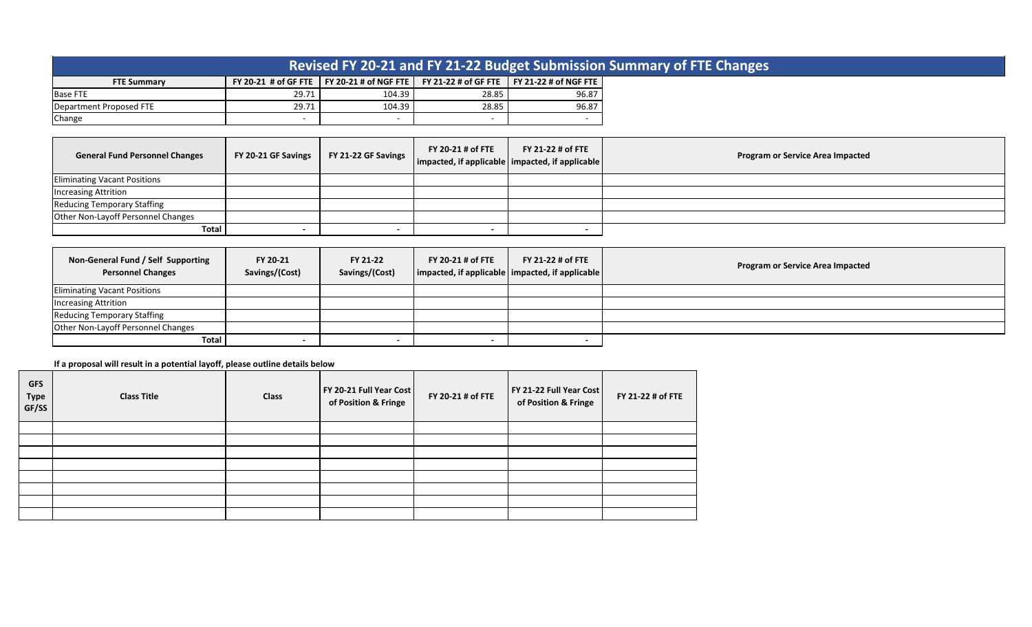|                         |       |                                                                    |       |                                              | Revised FY 20-21 and FY 21-22 Budget Submission Summary of FTE Changes |
|-------------------------|-------|--------------------------------------------------------------------|-------|----------------------------------------------|------------------------------------------------------------------------|
| <b>FTE Summary</b>      |       | FY 20-21 # of GF FTE $\parallel$ FY 20-21 # of NGF FTE $\parallel$ |       | FY 21-22 # of GF FTE   FY 21-22 # of NGF FTE |                                                                        |
| <b>Base FTE</b>         | 29.71 | 104.39                                                             | 28.85 | 96.87                                        |                                                                        |
| Department Proposed FTE | 29.71 | 104.39                                                             | 28.85 | 96.87                                        |                                                                        |
| Change                  |       |                                                                    |       |                                              |                                                                        |

| <b>General Fund Personnel Changes</b> | FY 20-21 GF Savings | FY 21-22 GF Savings | FY 20-21 # of FTE<br>  impacted, if applicable   impacted, if applicable | FY 21-22 # of FTE | <b>Program or Service Area Impacted</b> |
|---------------------------------------|---------------------|---------------------|--------------------------------------------------------------------------|-------------------|-----------------------------------------|
| <b>Eliminating Vacant Positions</b>   |                     |                     |                                                                          |                   |                                         |
| <b>Increasing Attrition</b>           |                     |                     |                                                                          |                   |                                         |
| <b>Reducing Temporary Staffing</b>    |                     |                     |                                                                          |                   |                                         |
| Other Non-Layoff Personnel Changes    |                     |                     |                                                                          |                   |                                         |
| Total                                 |                     |                     |                                                                          |                   |                                         |

| Non-General Fund / Self Supporting<br><b>Personnel Changes</b> | FY 20-21<br>Savings/(Cost) | FY 21-22<br>Savings/(Cost) | FY 20-21 # of FTE | FY 21-22 # of FTE<br>$\vert$ impacted, if applicable $\vert$ impacted, if applicable $\vert$ | <b>Program or Service Area Impacted</b> |
|----------------------------------------------------------------|----------------------------|----------------------------|-------------------|----------------------------------------------------------------------------------------------|-----------------------------------------|
| <b>Eliminating Vacant Positions</b>                            |                            |                            |                   |                                                                                              |                                         |
| <b>Increasing Attrition</b>                                    |                            |                            |                   |                                                                                              |                                         |
| <b>Reducing Temporary Staffing</b>                             |                            |                            |                   |                                                                                              |                                         |
| Other Non-Layoff Personnel Changes                             |                            |                            |                   |                                                                                              |                                         |
| Total                                                          | $\overline{\phantom{a}}$   |                            |                   |                                                                                              |                                         |

**If a proposal will result in a potential layoff, please outline details below**

| <b>GFS</b><br><b>Type</b><br>GF/SS | <b>Class Title</b> | <b>Class</b> | FY 20-21 Full Year Cost<br>of Position & Fringe | FY 20-21 # of FTE | FY 21-22 Full Year Cost<br>of Position & Fringe | FY 21-22 # of FTE |
|------------------------------------|--------------------|--------------|-------------------------------------------------|-------------------|-------------------------------------------------|-------------------|
|                                    |                    |              |                                                 |                   |                                                 |                   |
|                                    |                    |              |                                                 |                   |                                                 |                   |
|                                    |                    |              |                                                 |                   |                                                 |                   |
|                                    |                    |              |                                                 |                   |                                                 |                   |
|                                    |                    |              |                                                 |                   |                                                 |                   |
|                                    |                    |              |                                                 |                   |                                                 |                   |
|                                    |                    |              |                                                 |                   |                                                 |                   |
|                                    |                    |              |                                                 |                   |                                                 |                   |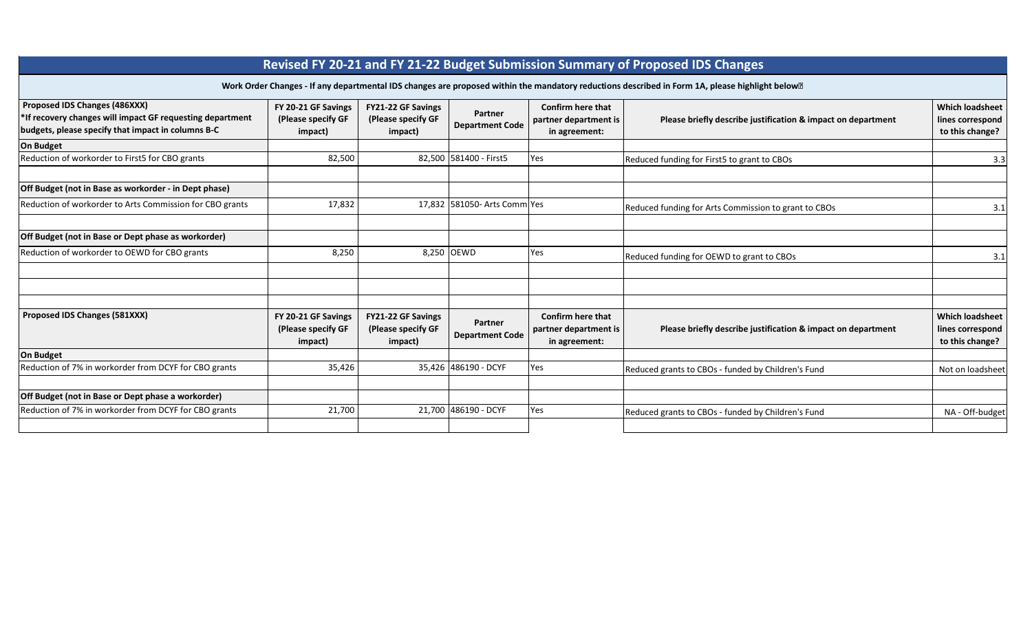|                                                                                                                                                  |                                                      |                                                     |                                   |                                                             | Revised FY 20-21 and FY 21-22 Budget Submission Summary of Proposed IDS Changes                                                                               |                                                               |
|--------------------------------------------------------------------------------------------------------------------------------------------------|------------------------------------------------------|-----------------------------------------------------|-----------------------------------|-------------------------------------------------------------|---------------------------------------------------------------------------------------------------------------------------------------------------------------|---------------------------------------------------------------|
|                                                                                                                                                  |                                                      |                                                     |                                   |                                                             | Work Order Changes - If any departmental IDS changes are proposed within the mandatory reductions described in Form 1A, please highlight below <sup>[2]</sup> |                                                               |
| Proposed IDS Changes (486XXX)<br>*If recovery changes will impact GF requesting department<br>budgets, please specify that impact in columns B-C | FY 20-21 GF Savings<br>(Please specify GF<br>impact) | FY21-22 GF Savings<br>(Please specify GF<br>impact) | Partner<br><b>Department Code</b> | Confirm here that<br>partner department is<br>in agreement: | Please briefly describe justification & impact on department                                                                                                  | <b>Which loadsheet</b><br>lines correspond<br>to this change? |
| <b>On Budget</b>                                                                                                                                 |                                                      |                                                     |                                   |                                                             |                                                                                                                                                               |                                                               |
| Reduction of workorder to First5 for CBO grants                                                                                                  | 82,500                                               |                                                     | 82,500 581400 - First5            | Yes                                                         | Reduced funding for First5 to grant to CBOs                                                                                                                   | 3.3                                                           |
| Off Budget (not in Base as workorder - in Dept phase)                                                                                            |                                                      |                                                     |                                   |                                                             |                                                                                                                                                               |                                                               |
| Reduction of workorder to Arts Commission for CBO grants                                                                                         | 17,832                                               |                                                     | 17,832 581050- Arts Comm Yes      |                                                             | Reduced funding for Arts Commission to grant to CBOs                                                                                                          | 3.1                                                           |
| Off Budget (not in Base or Dept phase as workorder)                                                                                              |                                                      |                                                     |                                   |                                                             |                                                                                                                                                               |                                                               |
| Reduction of workorder to OEWD for CBO grants                                                                                                    | 8,250                                                | 8,250                                               | <b>OEWD</b>                       | Yes                                                         | Reduced funding for OEWD to grant to CBOs                                                                                                                     | 3.1                                                           |
|                                                                                                                                                  |                                                      |                                                     |                                   |                                                             |                                                                                                                                                               |                                                               |
| Proposed IDS Changes (581XXX)                                                                                                                    | FY 20-21 GF Savings<br>(Please specify GF<br>impact) | FY21-22 GF Savings<br>(Please specify GF<br>impact) | Partner<br><b>Department Code</b> | Confirm here that<br>partner department is<br>in agreement: | Please briefly describe justification & impact on department                                                                                                  | <b>Which loadsheet</b><br>lines correspond<br>to this change? |
| <b>On Budget</b>                                                                                                                                 |                                                      |                                                     |                                   |                                                             |                                                                                                                                                               |                                                               |
| Reduction of 7% in workorder from DCYF for CBO grants                                                                                            | 35,426                                               |                                                     | 35,426 486190 - DCYF              | Yes                                                         | Reduced grants to CBOs - funded by Children's Fund                                                                                                            | Not on loadsheet                                              |
| Off Budget (not in Base or Dept phase a workorder)                                                                                               |                                                      |                                                     |                                   |                                                             |                                                                                                                                                               |                                                               |
| Reduction of 7% in workorder from DCYF for CBO grants                                                                                            | 21,700                                               | 21.700                                              | 486190 - DCYF                     | Yes                                                         | Reduced grants to CBOs - funded by Children's Fund                                                                                                            | NA - Off-budget                                               |
|                                                                                                                                                  |                                                      |                                                     |                                   |                                                             |                                                                                                                                                               |                                                               |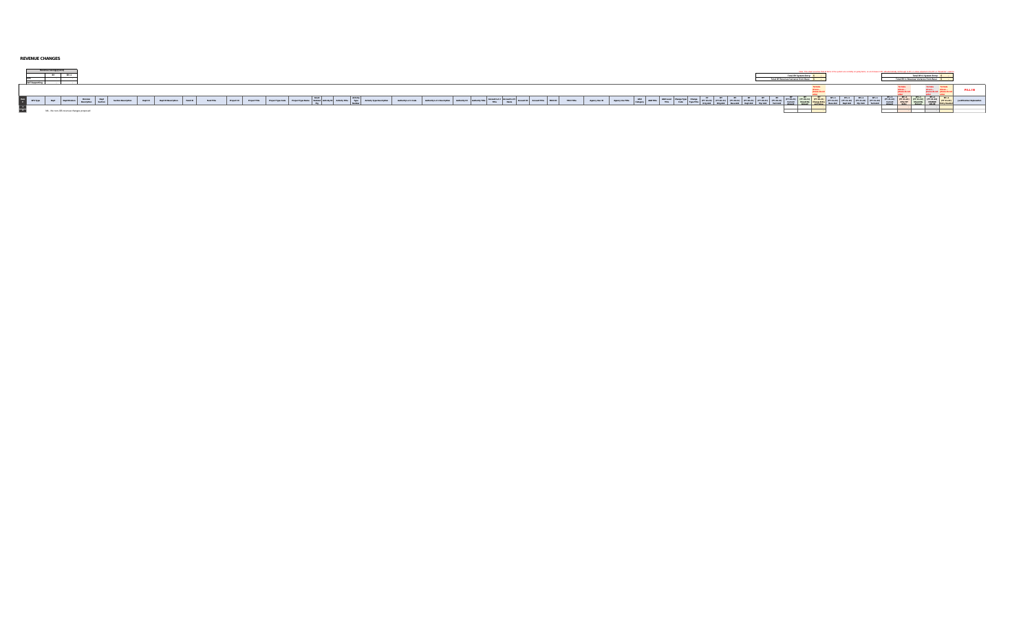## **REVENUE CHANGES**

| nevenue Savings/(Cos+)                                                                   | Total BY System Entry- | Total BY+1 System En*<br>ensus Varianza from Baser |
|------------------------------------------------------------------------------------------|------------------------|----------------------------------------------------|
|                                                                                          |                        |                                                    |
| $\begin{array}{ c c } \hline \text{Hom} & \text{d\'es Type} \\\hline \hline \end{array}$ |                        |                                                    |
|                                                                                          |                        |                                                    |